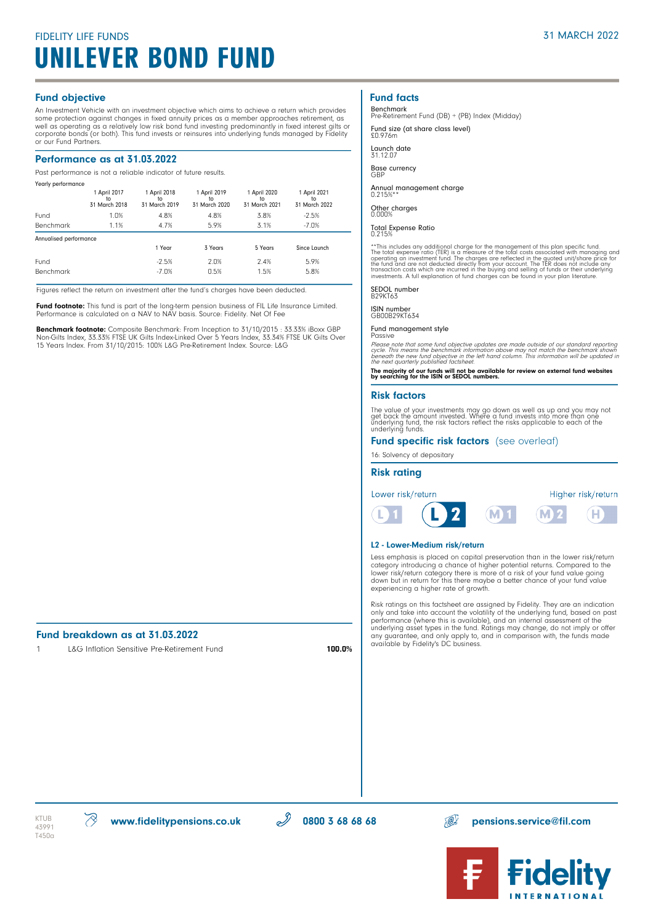# FIDELITY LIFE FUNDS UNILEVER BOND FUND

#### Fund objective

An Investment Vehicle with an investment objective which aims to achieve a return which provides some protection against changes in fixed annuity prices as a member approaches retirement, as<br>well as operating as a relatively low risk bond fund investing predominantly in fixed interest gilts or<br>corporate bonds (or both or our Fund Partners.

### Performance as at 31.03.2022

Past performance is not a reliable indicator of future results.

| Yearly performance     |                                     |                                     |                                     |                                     |                                     |  |
|------------------------|-------------------------------------|-------------------------------------|-------------------------------------|-------------------------------------|-------------------------------------|--|
|                        | 1 April 2017<br>to<br>31 March 2018 | 1 April 2018<br>to<br>31 March 2019 | 1 April 2019<br>to<br>31 March 2020 | 1 April 2020<br>to<br>31 March 2021 | 1 April 2021<br>to<br>31 March 2022 |  |
| Fund                   | 1.0%                                | 4.8%                                | 4.8%                                | 3.8%                                | $-2.5%$                             |  |
| <b>Benchmark</b>       | 1.1%                                | 4.7%                                | 5.9%                                | 3.1%                                | $-7.0%$                             |  |
| Annualised performance |                                     |                                     |                                     |                                     |                                     |  |
|                        |                                     | 1 Year                              | 3 Years                             | 5 Years                             | Since Launch                        |  |
| Fund                   |                                     | $-2.5%$                             | 2.0%                                | 2.4%                                | 5.9%                                |  |
| <b>Benchmark</b>       |                                     | $-7.0%$                             | 0.5%                                | 1.5%                                | 5.8%                                |  |

Figures reflect the return on investment after the fund's charges have been deducted.

Fund footnote: This fund is part of the long-term pension business of FIL Life Insurance Limited. Performance is calculated on a NAV to NAV basis. Source: Fidelity. Net Of Fee

Benchmark footnote: Composite Benchmark: From Inception to 31/10/2015 : 33.33% iBoxx GBP Non-Gilts Index, 33.33% FTSE UK Gilts Index-Linked Over 5 Years Index, 33.34% FTSE UK Gilts Over 15 Years Index. From 31/10/2015: 100% L&G Pre-Retirement Index. Source: L&G

# Fund breakdown as at 31.03.2022<br>1 1 186 Inflation Sonsitive Dr. P. II

L&G Inflation Sensitive Pre-Retirement Fund 100.0%

### Fund facts

Benchmark Pre-Retirement Fund (DB) + (PB) Index (Midday)

Fund size (at share class level) £0.976m

Launch date 31.12.07

Base currency GBP

Annual management charge 0.215%\*\*

Other charges 0.000%

Total Expense Ratio 0.215%

\*\*This includes any additional charge for the management of this plan specific fund.<br>The total expense ratio (TER) is a measure of the tolal costs associated with managing and<br>operating an investment fund. The charges are

SEDOL number B29KT63

ISIN number GB00B29KT634

Fund management style Passive

Please note that some fund objective updates are made outside of our standard reporting<br>cycle. This means the benchmark information above may not match the benchmark shown<br>beneath the new fund objective in the left hand co

The majority of our funds will not be available for review on external fund websites by searching for the ISIN or SEDOL numbers.

#### Risk factors

The value of your investments may go down as well as up and you may not<br>get back the amount invested. Where a fund invests into more than one<br>underlying fund, the risk factors reflect the risks applicable to each of the<br>un

#### Fund specific risk factors (see overleaf)

16: Solvency of depositary

#### Risk rating



#### L2 - Lower-Medium risk/return

Less emphasis is placed on capital preservation than in the lower risk/return category introducing a chance of higher potential returns. Compared to the lower risk/return category there is more of a risk of your fund value going down but in return for this there maybe a better chance of your fund value experiencing a higher rate of growth.

Risk ratings on this factsheet are assigned by Fidelity. They are an indication<br>only and take into account the volatility of the underlying fund, based on past<br>performance (where this is available), and an internal assessm any guarantee, and only apply to, and in comparison with, the funds made available by Fidelity's DC business.

T450a

 $\text{KTLIB} \quad \text{W} \quad \text{W}$  www.fidelitypensions.co.uk  $\text{W} \quad \text{W}$  0800 3 68 68  $\text{W} \quad \text{W}$  pensions.service@fil.com

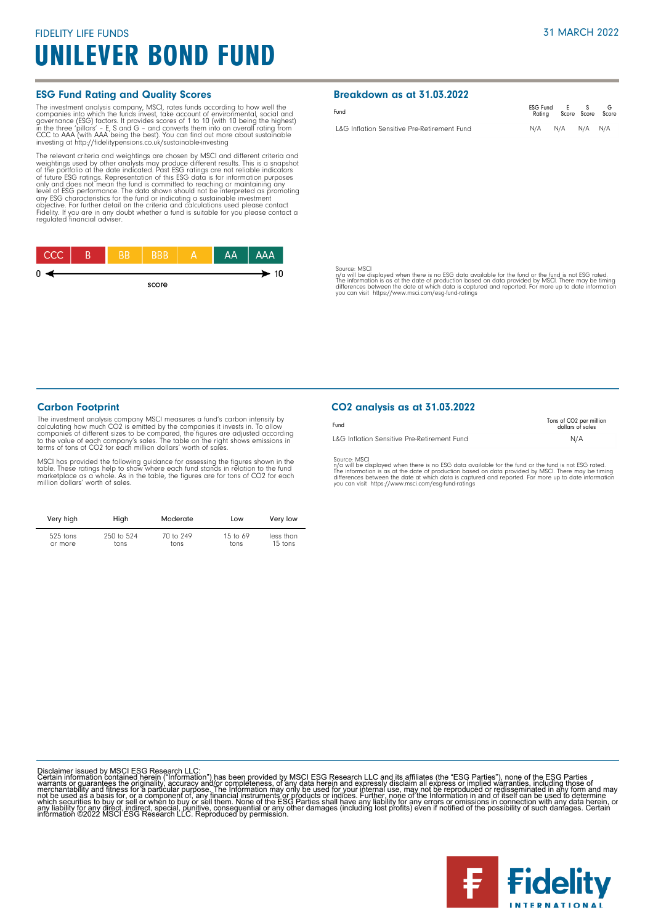# FIDELITY LIFE FUNDS UNILEVER BOND FUND

#### ESG Fund Rating and Quality Scores

The investment analysis company, MSCI, rates funds according to how well the forepanies into which the funds invest, take account of environmental, social and governance (ESG) factors. It provides scores of 1 to 10 (with 1

The relevant criteria and weightings are chosen by MSCI and different criteria and<br>weightings used by other analysts may produce different results. This is a snapshot<br>of the po<u>rtfo</u>lio at the date indicated. Past ESG rati of tuture ESG ratings. Representation of this ESG data is for information purposes<br>only and does not mean the fund is committed to reaching or maintaining any<br>level of ESG performance. The data shown should not be interpre



#### Breakdown as at 31.03.2022

| Fund                                        | ESG Fund E S<br>Ratina Score Score Score |  |  |
|---------------------------------------------|------------------------------------------|--|--|
| L&G Inflation Sensitive Pre-Retirement Fund | N/A N/A N/A N/A                          |  |  |

Source: MSCI

n/a will be displayed when there is no ESG data available for the fund or the fund is not ESG rated.<br>The information is as at the date of production based on data provided by MSCI. There may be timing<br>differences between t

#### Carbon Footprint

The investment analysis company MSCI measures a fund's carbon intensity by calculating how much CO2 is emitted by the companies it invests in. To allow<br>companies of different sizes to be compared, the figures are adjusted according<br>to the value of each company's sales. The table on the right show terms of tons of CO2 for each million dollars' worth of sales.

MSCI has provided the following guidance for assessing the figures shown in the<br>table. These ratings help to show where each fund stands in relation to the fund<br>marketplace as a whole. As in the table, the figures are for

| Very high  | High       | Moderate  | Low        | Very low  |
|------------|------------|-----------|------------|-----------|
| $525$ tons | 250 to 524 | 70 to 249 | 15 to $69$ | less than |
| or more    | tons       | tons      | tons       | 15 tons   |

### CO2 analysis as at 31.03.2022

| Fund                                        | Tons of CO <sub>2</sub> per million<br>dollars of sales |
|---------------------------------------------|---------------------------------------------------------|
| L&G Inflation Sensitive Pre-Retirement Fund | N/A                                                     |
|                                             |                                                         |

Source: MSCI<br>ny'a will be displayed when there is no ESG data available for the fund or the fund is not ESG rated.<br>The information is as at the date of production based on data provided by MSCI. There may be timing<br>differe

Disclaimer issued by MSCI ESG Research LLC:<br>Certain information contained herein ("Information") has been provided by MSCI ESG Research LLC and its affiliates (the "ESG Parties"), none of the ESG Parties<br>Certain informatio

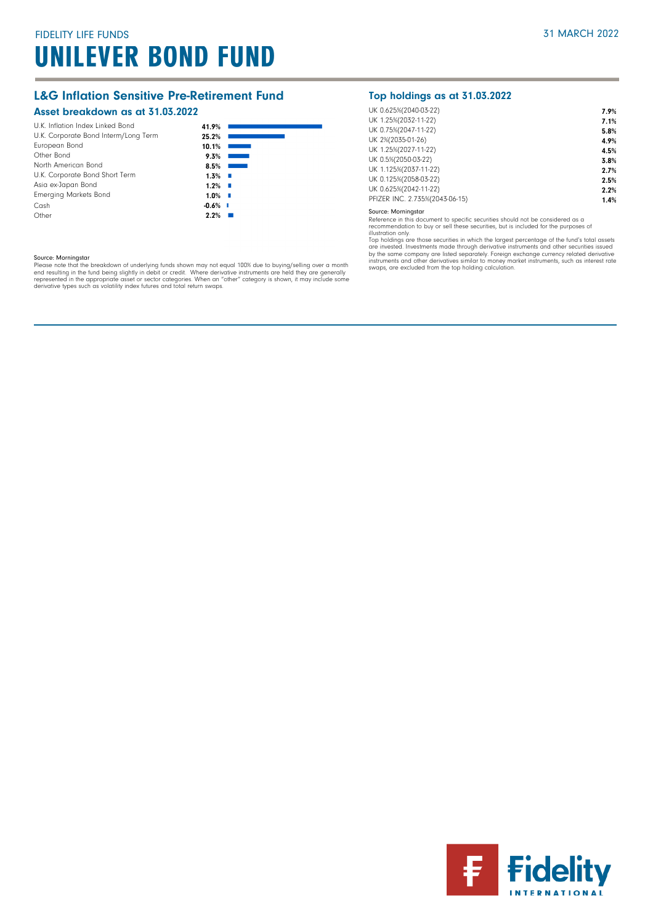# L&G Inflation Sensitive Pre-Retirement Fund

### Asset breakdown as at 31.03.2022

| European Bond<br>Other Bond<br>North American Bond<br>U.K. Corporate Bond Short Term<br>Asia ex-Japan Bond | 9.3%<br>8.5%<br>1.3%<br><b>II</b><br>1.2%<br>a ka |
|------------------------------------------------------------------------------------------------------------|---------------------------------------------------|
| <b>Emerging Markets Bond</b>                                                                               | $1.0\%$<br>×                                      |
| Cash<br>Other                                                                                              | $-0.6%$ I<br>2.2%                                 |

## Top holdings as at 31.03.2022

| UK 0.625%(2040-03-22)          | 7.9% |
|--------------------------------|------|
| UK 1.25%(2032-11-22)           | 7.1% |
| UK 0.75%(2047-11-22)           | 5.8% |
| UK 2%(2035-01-26)              | 4.9% |
| UK 1.25%(2027-11-22)           | 4.5% |
| UK 0.5%(2050-03-22)            | 3.8% |
| UK 1.125%(2037-11-22)          | 2.7% |
| UK 0.125%(2058-03-22)          | 2.5% |
| UK 0.625%(2042-11-22)          | 2.2% |
| PFIZER INC. 2.735%(2043-06-15) | 1.4% |
|                                |      |

Source: Morningstar

Reference in this document to specific securities should not be considered as a<br>recommendation to buy or sell these securities, but is included for the purposes of<br>illustration only.<br>Top holdings are those securities in wh by the same company are listed separately. Foreign exchange currency related derivative<br>instruments and other derivatives similar to money market instruments, such as interest rate<br>swaps, are excluded from the top holding

#### Source: Morningstar

Please note that the breakdown of underlying funds shown may not equal 100% due to buying/selling over a month<br>end resulting in the fund being slightly in debit or credit. Where derivative instruments are held they are gen